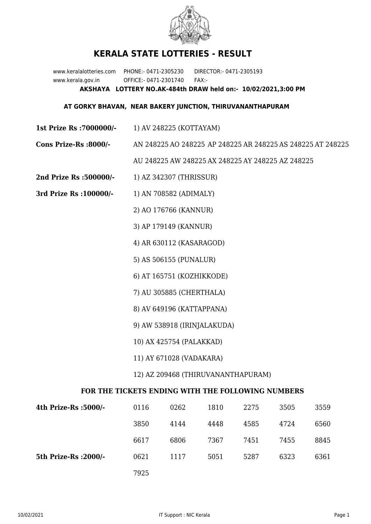

## **KERALA STATE LOTTERIES - RESULT**

www.keralalotteries.com PHONE:- 0471-2305230 DIRECTOR:- 0471-2305193 www.kerala.gov.in OFFICE:- 0471-2301740 FAX:- **AKSHAYA LOTTERY NO.AK-484th DRAW held on:- 10/02/2021,3:00 PM**

## **AT GORKY BHAVAN, NEAR BAKERY JUNCTION, THIRUVANANTHAPURAM**

- **1st Prize Rs :7000000/-** 1) AV 248225 (KOTTAYAM)
- **Cons Prize-Rs :8000/-** AN 248225 AO 248225 AP 248225 AR 248225 AS 248225 AT 248225

AU 248225 AW 248225 AX 248225 AY 248225 AZ 248225

- **2nd Prize Rs :500000/-** 1) AZ 342307 (THRISSUR)
- **3rd Prize Rs :100000/-** 1) AN 708582 (ADIMALY)

2) AO 176766 (KANNUR)

- 3) AP 179149 (KANNUR)
- 4) AR 630112 (KASARAGOD)
- 5) AS 506155 (PUNALUR)
- 6) AT 165751 (KOZHIKKODE)
- 7) AU 305885 (CHERTHALA)
- 8) AV 649196 (KATTAPPANA)
- 9) AW 538918 (IRINJALAKUDA)
- 10) AX 425754 (PALAKKAD)
- 11) AY 671028 (VADAKARA)
- 12) AZ 209468 (THIRUVANANTHAPURAM)

## **FOR THE TICKETS ENDING WITH THE FOLLOWING NUMBERS**

| 4th Prize-Rs :5000/-  | 0116 | 0262 | 1810 | 2275 | 3505 | 3559 |
|-----------------------|------|------|------|------|------|------|
|                       | 3850 | 4144 | 4448 | 4585 | 4724 | 6560 |
|                       | 6617 | 6806 | 7367 | 7451 | 7455 | 8845 |
| 5th Prize-Rs : 2000/- | 0621 | 1117 | 5051 | 5287 | 6323 | 6361 |
|                       | 7925 |      |      |      |      |      |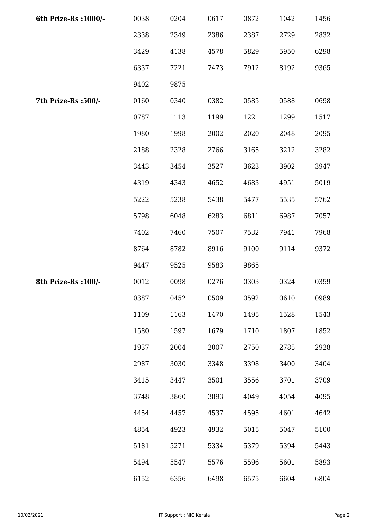| 6th Prize-Rs : 1000/- | 0038 | 0204 | 0617 | 0872 | 1042 | 1456 |
|-----------------------|------|------|------|------|------|------|
|                       | 2338 | 2349 | 2386 | 2387 | 2729 | 2832 |
|                       | 3429 | 4138 | 4578 | 5829 | 5950 | 6298 |
|                       | 6337 | 7221 | 7473 | 7912 | 8192 | 9365 |
|                       | 9402 | 9875 |      |      |      |      |
| 7th Prize-Rs :500/-   | 0160 | 0340 | 0382 | 0585 | 0588 | 0698 |
|                       | 0787 | 1113 | 1199 | 1221 | 1299 | 1517 |
|                       | 1980 | 1998 | 2002 | 2020 | 2048 | 2095 |
|                       | 2188 | 2328 | 2766 | 3165 | 3212 | 3282 |
|                       | 3443 | 3454 | 3527 | 3623 | 3902 | 3947 |
|                       | 4319 | 4343 | 4652 | 4683 | 4951 | 5019 |
|                       | 5222 | 5238 | 5438 | 5477 | 5535 | 5762 |
|                       | 5798 | 6048 | 6283 | 6811 | 6987 | 7057 |
|                       | 7402 | 7460 | 7507 | 7532 | 7941 | 7968 |
|                       | 8764 | 8782 | 8916 | 9100 | 9114 | 9372 |
|                       | 9447 | 9525 | 9583 | 9865 |      |      |
| 8th Prize-Rs : 100/-  | 0012 | 0098 | 0276 | 0303 | 0324 | 0359 |
|                       | 0387 | 0452 | 0509 | 0592 | 0610 | 0989 |
|                       | 1109 | 1163 | 1470 | 1495 | 1528 | 1543 |
|                       | 1580 | 1597 | 1679 | 1710 | 1807 | 1852 |
|                       | 1937 | 2004 | 2007 | 2750 | 2785 | 2928 |
|                       | 2987 | 3030 | 3348 | 3398 | 3400 | 3404 |
|                       | 3415 | 3447 | 3501 | 3556 | 3701 | 3709 |
|                       | 3748 | 3860 | 3893 | 4049 | 4054 | 4095 |
|                       | 4454 | 4457 | 4537 | 4595 | 4601 | 4642 |
|                       | 4854 | 4923 | 4932 | 5015 | 5047 | 5100 |
|                       | 5181 | 5271 | 5334 | 5379 | 5394 | 5443 |
|                       | 5494 | 5547 | 5576 | 5596 | 5601 | 5893 |
|                       | 6152 | 6356 | 6498 | 6575 | 6604 | 6804 |